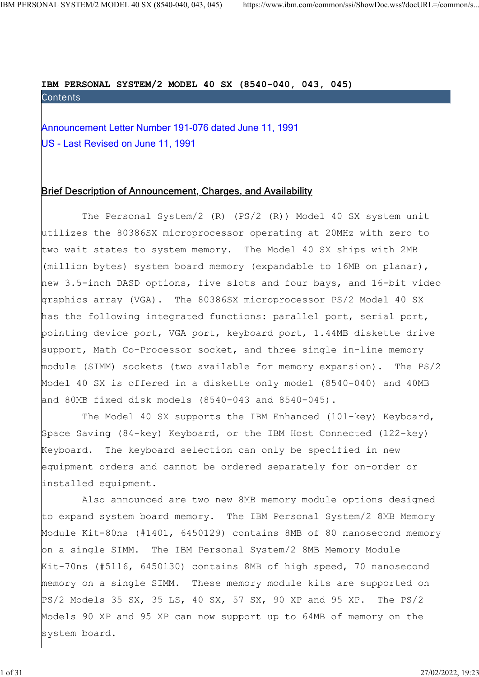# IBM PERSONAL SYSTEM/2 MODEL 40 SX (8540-040, 043, 045)

NAL SYSTEM/2 MODEL 40 SX (8540-040, 043, 045) https://www.ibm.com/common/ssi/ShowDoc.wss?decURL=/common/s<br> **IBM PERSONAL SYSTEM/2 MODEL 40 SX (8540-040, 043, 045)**<br>
Contents<br>
Announcement Letter Number 191-076 dated June 1 US - Last Revised on June 11, 1991

## Brief Description of Announcement, Charges, and Availability

 The Personal System/2 (R) (PS/2 (R)) Model 40 SX system unit utilizes the 80386SX microprocessor operating at 20MHz with zero to two wait states to system memory. The Model 40 SX ships with 2MB (million bytes) system board memory (expandable to 16MB on planar), new 3.5-inch DASD options, five slots and four bays, and 16-bit video graphics array (VGA). The 80386SX microprocessor PS/2 Model 40 SX has the following integrated functions: parallel port, serial port, pointing device port, VGA port, keyboard port, 1.44MB diskette drive support, Math Co-Processor socket, and three single in-line memory module (SIMM) sockets (two available for memory expansion). The PS/2 Model 40 SX is offered in a diskette only model (8540-040) and 40MB and 80MB fixed disk models (8540-043 and 8540-045).

 The Model 40 SX supports the IBM Enhanced (101-key) Keyboard, Space Saving (84-key) Keyboard, or the IBM Host Connected (122-key) Keyboard. The keyboard selection can only be specified in new equipment orders and cannot be ordered separately for on-order or installed equipment.

 Also announced are two new 8MB memory module options designed to expand system board memory. The IBM Personal System/2 8MB Memory Module Kit-80ns (#1401, 6450129) contains 8MB of 80 nanosecond memory on a single SIMM. The IBM Personal System/2 8MB Memory Module Kit-70ns (#5116, 6450130) contains 8MB of high speed, 70 nanosecond memory on a single SIMM. These memory module kits are supported on PS/2 Models 35 SX, 35 LS, 40 SX, 57 SX, 90 XP and 95 XP. The PS/2 Models 90 XP and 95 XP can now support up to 64MB of memory on the system board.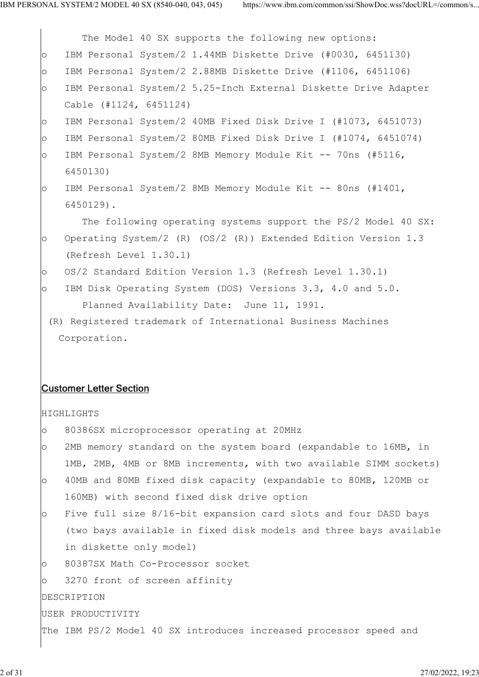|         | The Model 40 SX supports the following new options:               |
|---------|-------------------------------------------------------------------|
| $\circ$ | IBM Personal System/2 1.44MB Diskette Drive (#0030, 6451130)      |
| $\circ$ | IBM Personal System/2 2.88MB Diskette Drive (#1106, 6451106)      |
| $\circ$ | IBM Personal System/2 5.25-Inch External Diskette Drive Adapter   |
|         | Cable (#1124, 6451124)                                            |
| $\circ$ | IBM Personal System/2 40MB Fixed Disk Drive I (#1073, 6451073)    |
| $\circ$ | IBM Personal System/2 80MB Fixed Disk Drive I (#1074, 6451074)    |
| $\circ$ | IBM Personal System/2 8MB Memory Module Kit -- 70ns (#5116,       |
|         | 6450130)                                                          |
| $\circ$ | IBM Personal System/2 8MB Memory Module Kit -- 80ns (#1401,       |
|         | 6450129).                                                         |
|         | The following operating systems support the PS/2 Model 40 SX:     |
| $\circ$ | Operating System/2 (R) (OS/2 (R)) Extended Edition Version 1.3    |
|         | (Refresh Level 1.30.1)                                            |
| $\circ$ | OS/2 Standard Edition Version 1.3 (Refresh Level 1.30.1)          |
| $\circ$ | IBM Disk Operating System (DOS) Versions 3.3, 4.0 and 5.0.        |
|         | Planned Availability Date: June 11, 1991.                         |
|         | (R) Registered trademark of International Business Machines       |
|         | Corporation.                                                      |
|         |                                                                   |
|         |                                                                   |
|         | <b>Customer Letter Section</b>                                    |
|         | <b>HIGHLIGHTS</b>                                                 |
| $\circ$ | 80386SX microprocessor operating at 20MHz                         |
| $\circ$ | 2MB memory standard on the system board (expandable to 16MB, in   |
|         | 1MB, 2MB, 4MB or 8MB increments, with two available SIMM sockets) |
| $\circ$ | 40MB and 80MB fixed disk capacity (expandable to 80MB, 120MB or   |
|         | 160MB) with second fixed disk drive option                        |
| $\circ$ | Five full size 8/16-bit expansion card slots and four DASD bays   |
|         | (two bays available in fixed disk models and three bays available |
|         | in diskette only model)                                           |
| $\circ$ | 80387SX Math Co-Processor socket                                  |
| $\circ$ | 3270 front of screen affinity                                     |
|         | DESCRIPTION                                                       |
|         | USER PRODUCTIVITY                                                 |
|         | The IBM PS/2 Model 40 SX introduces increased processor speed and |
|         |                                                                   |
|         |                                                                   |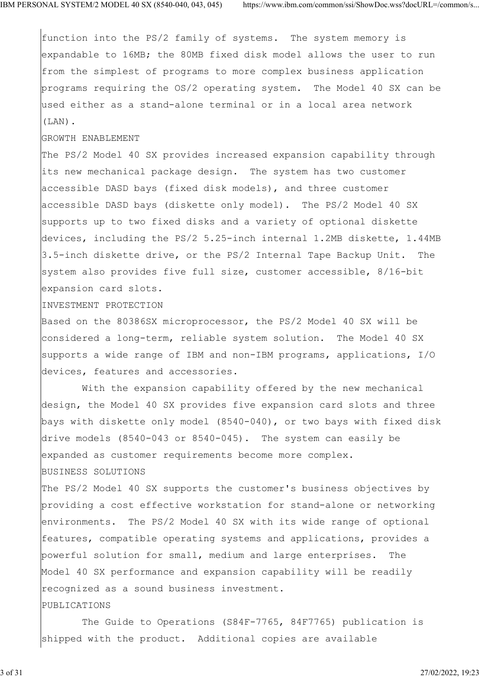function into the PS/2 family of systems. The system memory is expandable to 16MB; the 80MB fixed disk model allows the user to run from the simplest of programs to more complex business application programs requiring the OS/2 operating system. The Model 40 SX can be used either as a stand-alone terminal or in a local area network (LAN).

#### GROWTH ENABLEMENT

The PS/2 Model 40 SX provides increased expansion capability through its new mechanical package design. The system has two customer accessible DASD bays (fixed disk models), and three customer accessible DASD bays (diskette only model). The PS/2 Model 40 SX supports up to two fixed disks and a variety of optional diskette devices, including the PS/2 5.25-inch internal 1.2MB diskette, 1.44MB 3.5-inch diskette drive, or the PS/2 Internal Tape Backup Unit. The system also provides five full size, customer accessible, 8/16-bit expansion card slots.

#### INVESTMENT PROTECTION

Based on the 80386SX microprocessor, the PS/2 Model 40 SX will be considered a long-term, reliable system solution. The Model 40 SX supports a wide range of IBM and non-IBM programs, applications, I/O devices, features and accessories.

 With the expansion capability offered by the new mechanical design, the Model 40 SX provides five expansion card slots and three bays with diskette only model (8540-040), or two bays with fixed disk drive models (8540-043 or 8540-045). The system can easily be expanded as customer requirements become more complex. BUSINESS SOLUTIONS

The PS/2 Model 40 SX supports the customer's business objectives by providing a cost effective workstation for stand-alone or networking environments. The PS/2 Model 40 SX with its wide range of optional features, compatible operating systems and applications, provides a powerful solution for small, medium and large enterprises. The Model 40 SX performance and expansion capability will be readily recognized as a sound business investment.

#### PUBLICATIONS

 The Guide to Operations (S84F-7765, 84F7765) publication is shipped with the product. Additional copies are available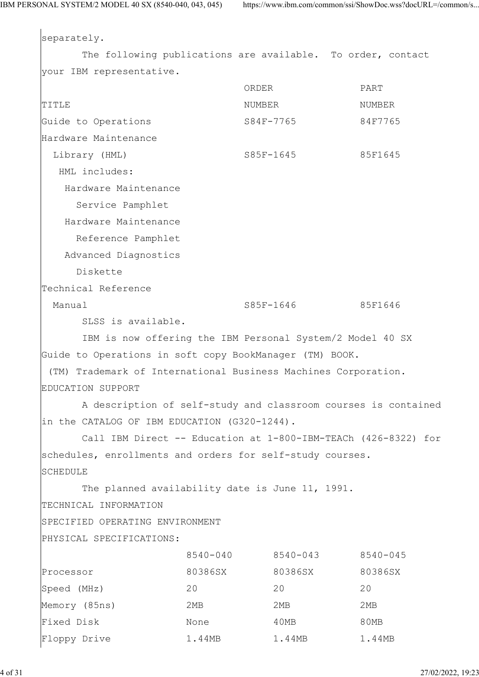separately. The following publications are available. To order, contact your IBM representative. ORDER PART TITLE TITLE SERVICES AND THE SERVICE RELATIONS AND MUNICIPALLY AND MUNICIPALLY AND MUNICIPALLY AND MUNICIPALLY AND MUNICIPALLY AND MUNICIPALLY AND MUNICIPALLY AND MUNICIPALLY AND MUNICIPALLY AND MUNICIPALLY AND MUNICIPALLY Guide to Operations S84F-7765 84F7765 Hardware Maintenance Library (HML) S85F-1645 85F1645 HML includes: Hardware Maintenance Service Pamphlet Hardware Maintenance Reference Pamphlet Advanced Diagnostics Diskette Technical Reference Manual 385F-1646 85F1646 SLSS is available. IBM is now offering the IBM Personal System/2 Model 40 SX Guide to Operations in soft copy BookManager (TM) BOOK. (TM) Trademark of International Business Machines Corporation. EDUCATION SUPPORT A description of self-study and classroom courses is contained in the CATALOG OF IBM EDUCATION (G320-1244). Call IBM Direct -- Education at 1-800-IBM-TEACh (426-8322) for schedules, enrollments and orders for self-study courses. **SCHEDULE** The planned availability date is June 11, 1991. TECHNICAL INFORMATION SPECIFIED OPERATING ENVIRONMENT PHYSICAL SPECIFICATIONS: 8540-040 8540-043 8540-045 Processor 80386SX 80386SX 80386SX Speed (MHz) 20 20 20 Memory (85ns) 2MB 2MB 2MB 2MB Fixed Disk None 10MB 80MB Floppy Drive 1.44MB 1.44MB 1.44MB 1.44MB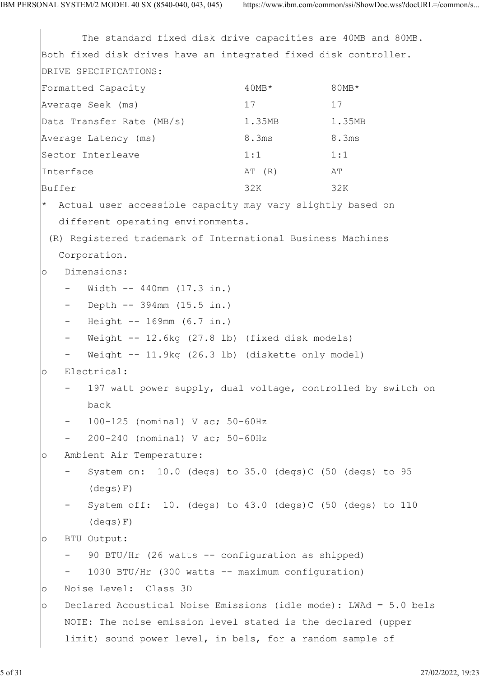The standard fixed disk drive capacities are 40MB and 80MB. Both fixed disk drives have an integrated fixed disk controller. DRIVE SPECIFICATIONS: Formatted Capacity  $40MB*$  80MB\* 80MB\* Average Seek (ms) 17 17 17 Data Transfer Rate (MB/s) 1.35MB 1.35MB Average Latency (ms) 8.3ms 8.3ms Sector Interleave 1:1 1:1 1:1 Interface AT (R) AT Buffer 32K 32K 32K Actual user accessible capacity may vary slightly based on different operating environments. (R) Registered trademark of International Business Machines Corporation. o Dimensions:  $-$  Width  $-$  440mm (17.3 in.) - Depth -- 394mm (15.5 in.) - Height -- 169mm (6.7 in.) Weight  $-$  12.6kg (27.8 lb) (fixed disk models) Weight -- 11.9kg (26.3 lb) (diskette only model) o Electrical: 197 watt power supply, dual voltage, controlled by switch on back and the back of the back of the back of the back of the back of the back of the back of the back of the back of the back of the back of the back of the back of the back of the back of the back of the back of the back - 100-125 (nominal) V ac; 50-60Hz 200-240 (nominal) V ac; 50-60Hz o Ambient Air Temperature:  $-$  System on: 10.0 (degs) to 35.0 (degs)C (50 (degs) to 95 (degs)F) System off:  $10.$  (degs) to  $43.0$  (degs)C (50 (degs) to  $110$  (degs)F) o BTU Output: 90 BTU/Hr (26 watts -- configuration as shipped) 1030 BTU/Hr (300 watts -- maximum configuration) o Noise Level: Class 3D o Declared Acoustical Noise Emissions (idle mode): LWAd = 5.0 bels NOTE: The noise emission level stated is the declared (upper limit) sound power level, in bels, for a random sample of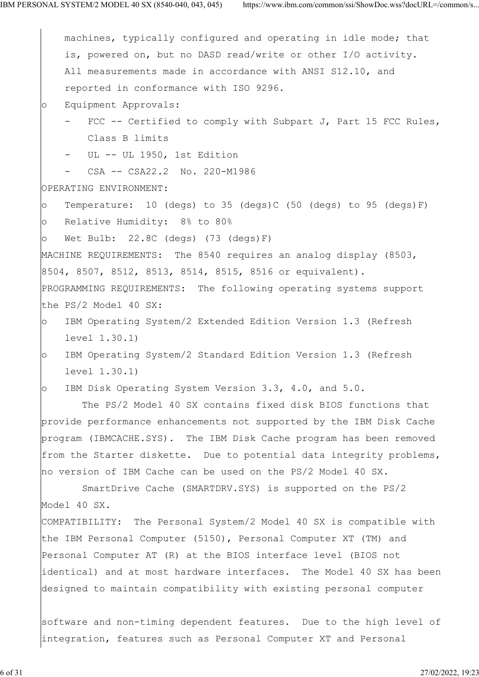|         | machines, typically configured and operating in idle mode; that      |
|---------|----------------------------------------------------------------------|
|         | is, powered on, but no DASD read/write or other I/O activity.        |
|         | All measurements made in accordance with ANSI S12.10, and            |
|         | reported in conformance with ISO 9296.                               |
| $\circ$ | Equipment Approvals:                                                 |
|         | FCC -- Certified to comply with Subpart J, Part 15 FCC Rules,        |
|         | Class B limits                                                       |
|         | - UL -- UL 1950, 1st Edition                                         |
|         | CSA -- CSA22.2 No. 220-M1986<br>$\qquad \qquad \blacksquare$         |
|         | OPERATING ENVIRONMENT:                                               |
| $\circ$ | Temperature: 10 (degs) to 35 (degs)C (50 (degs) to 95 (degs)F)       |
| $\circ$ | Relative Humidity: 8% to 80%                                         |
| $\circ$ | Wet Bulb: $22.8C$ (degs) $(73 \text{ (degs) F})$                     |
|         | MACHINE REQUIREMENTS: The 8540 requires an analog display (8503,     |
|         | 8504, 8507, 8512, 8513, 8514, 8515, 8516 or equivalent).             |
|         | PROGRAMMING REQUIREMENTS: The following operating systems support    |
|         | the PS/2 Model 40 SX:                                                |
| $\circ$ | IBM Operating System/2 Extended Edition Version 1.3 (Refresh         |
|         | level 1.30.1)                                                        |
| $\circ$ | IBM Operating System/2 Standard Edition Version 1.3 (Refresh         |
|         | level 1.30.1)                                                        |
| $\circ$ | IBM Disk Operating System Version 3.3, 4.0, and 5.0.                 |
|         | The PS/2 Model 40 SX contains fixed disk BIOS functions that         |
|         | provide performance enhancements not supported by the IBM Disk Cache |
|         | program (IBMCACHE.SYS). The IBM Disk Cache program has been removed  |
|         | from the Starter diskette. Due to potential data integrity problems, |
|         | no version of IBM Cache can be used on the PS/2 Model 40 SX.         |
|         | SmartDrive Cache (SMARTDRV.SYS) is supported on the PS/2             |
|         | Model 40 SX.                                                         |
|         | COMPATIBILITY: The Personal System/2 Model 40 SX is compatible with  |
|         | the IBM Personal Computer (5150), Personal Computer XT (TM) and      |
|         | Personal Computer AT (R) at the BIOS interface level (BIOS not       |
|         | identical) and at most hardware interfaces. The Model 40 SX has been |
|         | designed to maintain compatibility with existing personal computer   |
|         |                                                                      |
|         | software and non-timing dependent features. Due to the high level of |
|         | integration, features such as Personal Computer XT and Personal      |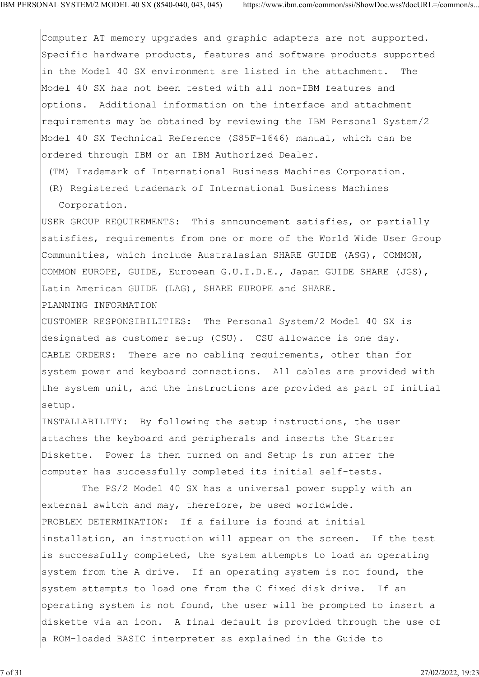Computer AT memory upgrades and graphic adapters are not supported. Specific hardware products, features and software products supported in the Model 40 SX environment are listed in the attachment. The Model 40 SX has not been tested with all non-IBM features and options. Additional information on the interface and attachment requirements may be obtained by reviewing the IBM Personal System/2 Model 40 SX Technical Reference (S85F-1646) manual, which can be ordered through IBM or an IBM Authorized Dealer.

(TM) Trademark of International Business Machines Corporation.

 (R) Registered trademark of International Business Machines Corporation.

USER GROUP REQUIREMENTS: This announcement satisfies, or partially satisfies, requirements from one or more of the World Wide User Group Communities, which include Australasian SHARE GUIDE (ASG), COMMON, COMMON EUROPE, GUIDE, European G.U.I.D.E., Japan GUIDE SHARE (JGS), Latin American GUIDE (LAG), SHARE EUROPE and SHARE.

PLANNING INFORMATION

CUSTOMER RESPONSIBILITIES: The Personal System/2 Model 40 SX is designated as customer setup (CSU). CSU allowance is one day. CABLE ORDERS: There are no cabling requirements, other than for system power and keyboard connections. All cables are provided with the system unit, and the instructions are provided as part of initial setup.

INSTALLABILITY: By following the setup instructions, the user attaches the keyboard and peripherals and inserts the Starter Diskette. Power is then turned on and Setup is run after the computer has successfully completed its initial self-tests.

 The PS/2 Model 40 SX has a universal power supply with an external switch and may, therefore, be used worldwide. PROBLEM DETERMINATION: If a failure is found at initial installation, an instruction will appear on the screen. If the test is successfully completed, the system attempts to load an operating system from the A drive. If an operating system is not found, the system attempts to load one from the C fixed disk drive. If an operating system is not found, the user will be prompted to insert a diskette via an icon. A final default is provided through the use of a ROM-loaded BASIC interpreter as explained in the Guide to

7 of 31 27/02/2022, 19:23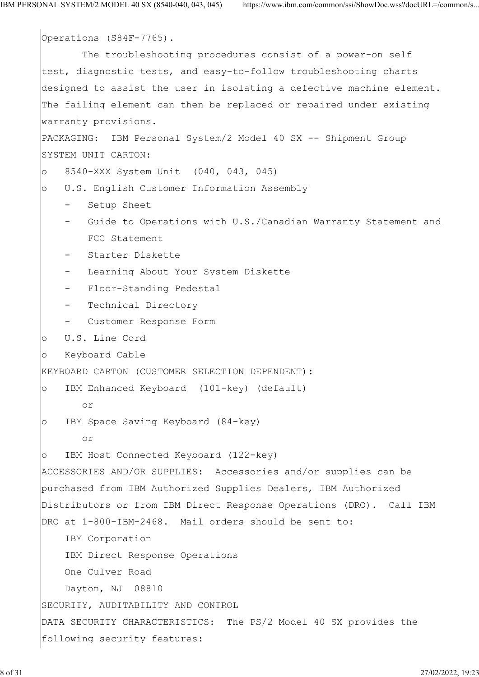Operations (S84F-7765). The troubleshooting procedures consist of a power-on self test, diagnostic tests, and easy-to-follow troubleshooting charts designed to assist the user in isolating a defective machine element. The failing element can then be replaced or repaired under existing warranty provisions. PACKAGING: IBM Personal System/2 Model 40 SX -- Shipment Group SYSTEM UNIT CARTON: o 8540-XXX System Unit (040, 043, 045) o U.S. English Customer Information Assembly - Setup Sheet - Guide to Operations with U.S./Canadian Warranty Statement and FCC Statement - Starter Diskette Learning About Your System Diskette Floor-Standing Pedestal Technical Directory - Customer Response Form o U.S. Line Cord o Keyboard Cable KEYBOARD CARTON (CUSTOMER SELECTION DEPENDENT): o IBM Enhanced Keyboard (101-key) (default) or o IBM Space Saving Keyboard (84-key) or o IBM Host Connected Keyboard (122-key) ACCESSORIES AND/OR SUPPLIES: Accessories and/or supplies can be purchased from IBM Authorized Supplies Dealers, IBM Authorized Distributors or from IBM Direct Response Operations (DRO). Call IBM DRO at 1-800-IBM-2468. Mail orders should be sent to: IBM Corporation IBM Direct Response Operations One Culver Road Dayton, NJ 08810 SECURITY, AUDITABILITY AND CONTROL DATA SECURITY CHARACTERISTICS: The PS/2 Model 40 SX provides the following security features: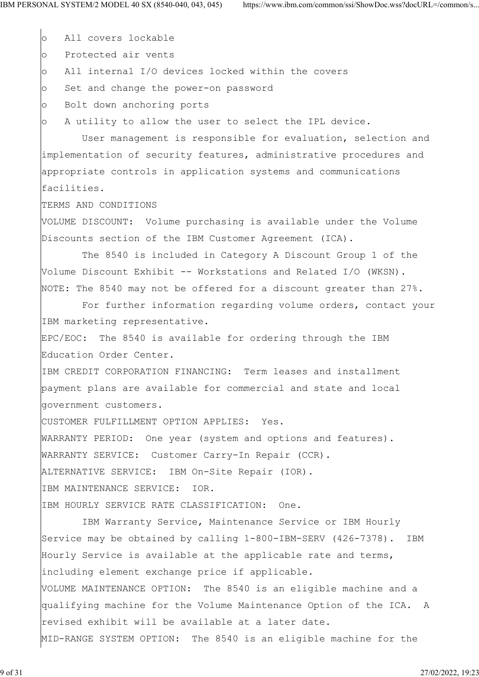o All covers lockable

o Protected air vents

o All internal I/O devices locked within the covers

o Set and change the power-on password

o Bolt down anchoring ports

o A utility to allow the user to select the IPL device.

 User management is responsible for evaluation, selection and implementation of security features, administrative procedures and appropriate controls in application systems and communications facilities.

TERMS AND CONDITIONS

VOLUME DISCOUNT: Volume purchasing is available under the Volume Discounts section of the IBM Customer Agreement (ICA).

 The 8540 is included in Category A Discount Group 1 of the Volume Discount Exhibit -- Workstations and Related I/O (WKSN). NOTE: The 8540 may not be offered for a discount greater than 27%.

 For further information regarding volume orders, contact your IBM marketing representative.

EPC/EOC: The 8540 is available for ordering through the IBM Education Order Center.

IBM CREDIT CORPORATION FINANCING: Term leases and installment payment plans are available for commercial and state and local government customers.

CUSTOMER FULFILLMENT OPTION APPLIES: Yes.

WARRANTY PERIOD: One year (system and options and features).

WARRANTY SERVICE: Customer Carry-In Repair (CCR).

ALTERNATIVE SERVICE: IBM On-Site Repair (IOR).

IBM MAINTENANCE SERVICE: IOR.

IBM HOURLY SERVICE RATE CLASSIFICATION: One.

 IBM Warranty Service, Maintenance Service or IBM Hourly Service may be obtained by calling 1-800-IBM-SERV (426-7378). IBM Hourly Service is available at the applicable rate and terms, including element exchange price if applicable. VOLUME MAINTENANCE OPTION: The 8540 is an eligible machine and a qualifying machine for the Volume Maintenance Option of the ICA. A revised exhibit will be available at a later date. MID-RANGE SYSTEM OPTION: The 8540 is an eligible machine for the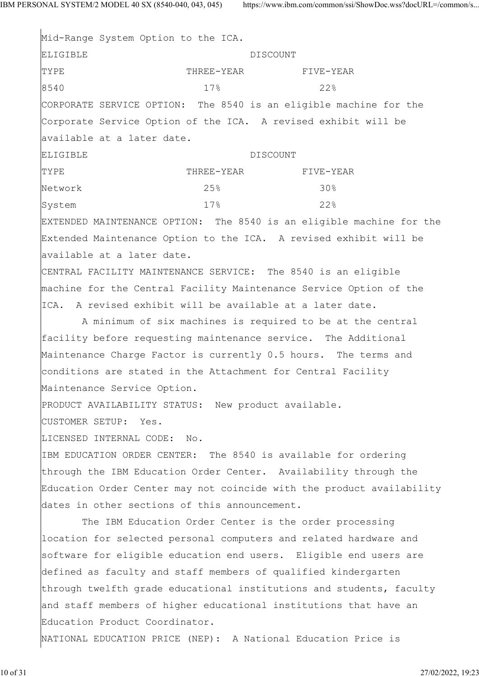Mid-Range System Option to the ICA. ELIGIBLE DISCOUNT TYPE THREE-YEAR FIVE-YEAR FIVE-YEAR 8540 17% 22% CORPORATE SERVICE OPTION: The 8540 is an eligible machine for the Corporate Service Option of the ICA. A revised exhibit will be available at a later date. ELIGIBLE DISCOUNT THREE-YEAR FIVE-YEAR FIVE-YEAR Network 25% 30% System  $17\%$  22% EXTENDED MAINTENANCE OPTION: The 8540 is an eligible machine for the Extended Maintenance Option to the ICA. A revised exhibit will be available at a later date. CENTRAL FACILITY MAINTENANCE SERVICE: The 8540 is an eligible machine for the Central Facility Maintenance Service Option of the ICA. A revised exhibit will be available at a later date. A minimum of six machines is required to be at the central facility before requesting maintenance service. The Additional Maintenance Charge Factor is currently 0.5 hours. The terms and conditions are stated in the Attachment for Central Facility Maintenance Service Option. PRODUCT AVAILABILITY STATUS: New product available. CUSTOMER SETUP: Yes. LICENSED INTERNAL CODE: No. IBM EDUCATION ORDER CENTER: The 8540 is available for ordering through the IBM Education Order Center. Availability through the Education Order Center may not coincide with the product availability dates in other sections of this announcement. The IBM Education Order Center is the order processing location for selected personal computers and related hardware and software for eligible education end users. Eligible end users are defined as faculty and staff members of qualified kindergarten through twelfth grade educational institutions and students, faculty and staff members of higher educational institutions that have an Education Product Coordinator. NATIONAL EDUCATION PRICE (NEP): A National Education Price is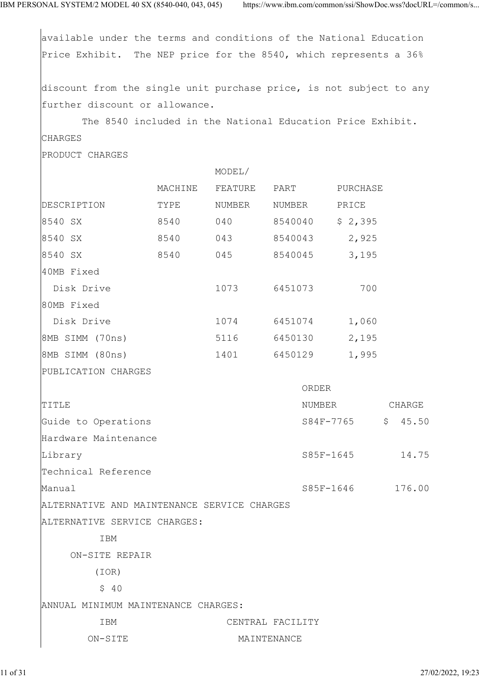available under the terms and conditions of the National Education Price Exhibit. The NEP price for the 8540, which represents a 36% discount from the single unit purchase price, is not subject to any further discount or allowance. The 8540 included in the National Education Price Exhibit. CHARGES PRODUCT CHARGES MODEL/ MACHINE FEATURE PART PURCHASE |<br>|DESCRIPTION TYPE NUMBER NUMBER PRICE 8540 SX 8540 040 8540040 \$ 2,395 8540 SX 8540 043 8540043 2,925 8540 SX 8540 045 8540045 3,195 40MB Fixed Disk Drive 1073 6451073 700 80MB Fixed Disk Drive 1074 6451074 1,060 8MB SIMM (70ns) 5116 6450130 2,195 8MB SIMM (80ns) 1401 6450129 1,995 PUBLICATION CHARGES ORDER TITLE TITLE SERVICES AND THE SERVICE SERVICES AND SERVICE SERVICES AND SERVICE SERVICES AND SERVICE SERVICES A Guide to Operations  $S84F-7765$  \$  $45.50$ Hardware Maintenance Library S85F-1645 14.75 Technical Reference Manual 385F-1646 176.00 ALTERNATIVE AND MAINTENANCE SERVICE CHARGES ALTERNATIVE SERVICE CHARGES: IBM ON-SITE REPAIR (IOR)  $$ 40$ ANNUAL MINIMUM MAINTENANCE CHARGES: IBM CENTRAL FACILITY ON-SITE MAINTENANCE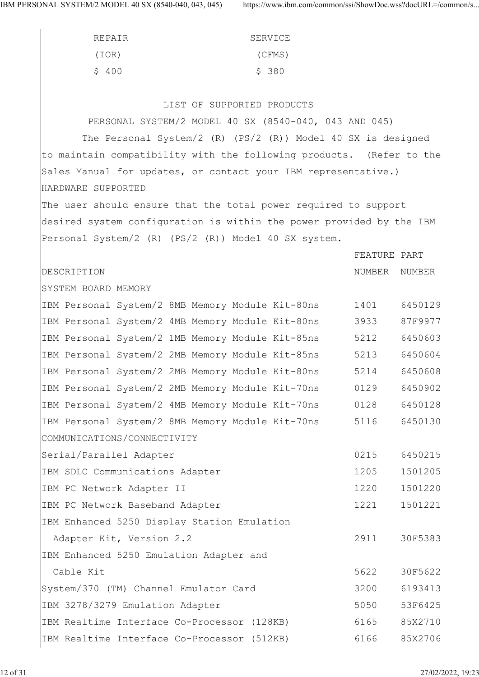| SERVICE | REPAIR |
|---------|--------|
| (CFMS)  | (IOR)  |
| \$380   | \$400  |

### LIST OF SUPPORTED PRODUCTS

| PERSONAL SYSTEM/2 MODEL 40 SX (8540-040, 043 AND 045)                |              |               |
|----------------------------------------------------------------------|--------------|---------------|
| The Personal System/2 (R) (PS/2 $(R)$ ) Model 40 SX is designed      |              |               |
| to maintain compatibility with the following products. (Refer to the |              |               |
| Sales Manual for updates, or contact your IBM representative.)       |              |               |
| HARDWARE SUPPORTED                                                   |              |               |
| The user should ensure that the total power required to support      |              |               |
| desired system configuration is within the power provided by the IBM |              |               |
| Personal System/2 (R) (PS/2 (R)) Model 40 SX system.                 |              |               |
|                                                                      | FEATURE PART |               |
| DESCRIPTION                                                          |              | NUMBER NUMBER |
| SYSTEM BOARD MEMORY                                                  |              |               |
| IBM Personal System/2 8MB Memory Module Kit-80ns                     | 1401         | 6450129       |
| IBM Personal System/2 4MB Memory Module Kit-80ns                     | 3933         | 87F9977       |
| IBM Personal System/2 1MB Memory Module Kit-85ns                     | 5212         | 6450603       |
| IBM Personal System/2 2MB Memory Module Kit-85ns                     | 5213         | 6450604       |
| IBM Personal System/2 2MB Memory Module Kit-80ns                     | 5214         | 6450608       |
| IBM Personal System/2 2MB Memory Module Kit-70ns                     | 0129         | 6450902       |
| IBM Personal System/2 4MB Memory Module Kit-70ns                     | 0128         | 6450128       |
| IBM Personal System/2 8MB Memory Module Kit-70ns                     | 5116         | 6450130       |
| COMMUNICATIONS/CONNECTIVITY                                          |              |               |
| Serial/Parallel Adapter                                              | 0215         | 6450215       |
| IBM SDLC Communications Adapter                                      | 1205         | 1501205       |
| IBM PC Network Adapter II                                            | 1220         | 1501220       |
| IBM PC Network Baseband Adapter                                      | 1221         | 1501221       |
| IBM Enhanced 5250 Display Station Emulation                          |              |               |
| Adapter Kit, Version 2.2                                             | 2911         | 30F5383       |
| IBM Enhanced 5250 Emulation Adapter and                              |              |               |
| Cable Kit                                                            | 5622         | 30F5622       |
| System/370 (TM) Channel Emulator Card                                | 3200         | 6193413       |
| IBM 3278/3279 Emulation Adapter                                      | 5050         | 53F6425       |
| IBM Realtime Interface Co-Processor (128KB)                          | 6165         | 85X2710       |
| IBM Realtime Interface Co-Processor (512KB)                          | 6166         | 85X2706       |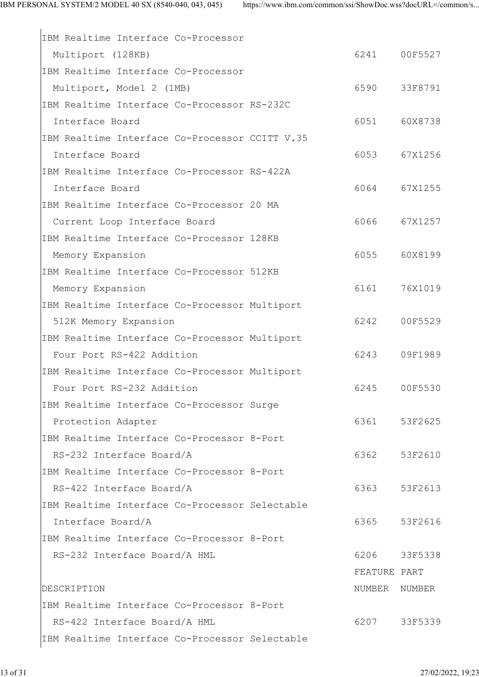| IBM Realtime Interface Co-Processor            |              |         |
|------------------------------------------------|--------------|---------|
| Multiport (128KB)                              | 6241         | 00F5527 |
| IBM Realtime Interface Co-Processor            |              |         |
| Multiport, Model 2 (1MB)                       | 6590         | 33F8791 |
| IBM Realtime Interface Co-Processor RS-232C    |              |         |
| Interface Board                                | 6051         | 60X8738 |
| IBM Realtime Interface Co-Processor CCITT V.35 |              |         |
| Interface Board                                | 6053         | 67X1256 |
| IBM Realtime Interface Co-Processor RS-422A    |              |         |
| Interface Board                                | 6064         | 67X1255 |
| IBM Realtime Interface Co-Processor 20 MA      |              |         |
| Current Loop Interface Board                   | 6066         | 67X1257 |
| IBM Realtime Interface Co-Processor 128KB      |              |         |
| Memory Expansion                               | 6055         | 60X8199 |
| IBM Realtime Interface Co-Processor 512KB      |              |         |
| Memory Expansion                               | 6161         | 76X1019 |
| IBM Realtime Interface Co-Processor Multiport  |              |         |
| 512K Memory Expansion                          | 6242         | 00F5529 |
| IBM Realtime Interface Co-Processor Multiport  |              |         |
| Four Port RS-422 Addition                      | 6243         | 09F1989 |
| IBM Realtime Interface Co-Processor Multiport  |              |         |
| Four Port RS-232 Addition                      | 6245         | 00F5530 |
| IBM Realtime Interface Co-Processor Surge      |              |         |
| Protection Adapter                             | 6361         | 53F2625 |
| IBM Realtime Interface Co-Processor 8-Port     |              |         |
| RS-232 Interface Board/A                       | 6362         | 53F2610 |
| IBM Realtime Interface Co-Processor 8-Port     |              |         |
| RS-422 Interface Board/A                       | 6363         | 53F2613 |
| IBM Realtime Interface Co-Processor Selectable |              |         |
| Interface Board/A                              | 6365         | 53F2616 |
| IBM Realtime Interface Co-Processor 8-Port     |              |         |
| RS-232 Interface Board/A HML                   | 6206         | 33F5338 |
|                                                | FEATURE PART |         |
| DESCRIPTION                                    | NUMBER       | NUMBER  |
| IBM Realtime Interface Co-Processor 8-Port     |              |         |
| RS-422 Interface Board/A HML                   | 6207         | 33F5339 |
| IBM Realtime Interface Co-Processor Selectable |              |         |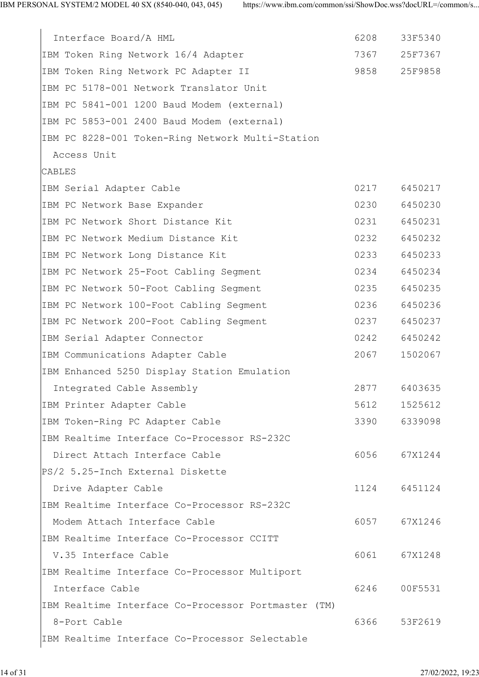| Interface Board/A HML                               | 6208 | 33F5340 |
|-----------------------------------------------------|------|---------|
| IBM Token Ring Network 16/4 Adapter                 | 7367 | 25F7367 |
| IBM Token Ring Network PC Adapter II                | 9858 | 25F9858 |
| IBM PC 5178-001 Network Translator Unit             |      |         |
| IBM PC 5841-001 1200 Baud Modem (external)          |      |         |
| IBM PC 5853-001 2400 Baud Modem (external)          |      |         |
| IBM PC 8228-001 Token-Ring Network Multi-Station    |      |         |
| Access Unit                                         |      |         |
| CABLES                                              |      |         |
| IBM Serial Adapter Cable                            | 0217 | 6450217 |
| IBM PC Network Base Expander                        | 0230 | 6450230 |
| IBM PC Network Short Distance Kit                   | 0231 | 6450231 |
| IBM PC Network Medium Distance Kit                  | 0232 | 6450232 |
| IBM PC Network Long Distance Kit                    | 0233 | 6450233 |
| IBM PC Network 25-Foot Cabling Segment              | 0234 | 6450234 |
| IBM PC Network 50-Foot Cabling Segment              | 0235 | 6450235 |
| IBM PC Network 100-Foot Cabling Segment             | 0236 | 6450236 |
| IBM PC Network 200-Foot Cabling Segment             | 0237 | 6450237 |
| IBM Serial Adapter Connector                        | 0242 | 6450242 |
| IBM Communications Adapter Cable                    | 2067 | 1502067 |
| IBM Enhanced 5250 Display Station Emulation         |      |         |
| Integrated Cable Assembly                           | 2877 | 6403635 |
| IBM Printer Adapter Cable                           | 5612 | 1525612 |
| IBM Token-Ring PC Adapter Cable                     | 3390 | 6339098 |
| IBM Realtime Interface Co-Processor RS-232C         |      |         |
| Direct Attach Interface Cable                       | 6056 | 67X1244 |
| PS/2 5.25-Inch External Diskette                    |      |         |
| Drive Adapter Cable                                 | 1124 | 6451124 |
| IBM Realtime Interface Co-Processor RS-232C         |      |         |
| Modem Attach Interface Cable                        | 6057 | 67X1246 |
| IBM Realtime Interface Co-Processor CCITT           |      |         |
| V.35 Interface Cable                                | 6061 | 67X1248 |
| IBM Realtime Interface Co-Processor Multiport       |      |         |
| Interface Cable                                     | 6246 | 00F5531 |
| IBM Realtime Interface Co-Processor Portmaster (TM) |      |         |
| 8-Port Cable                                        | 6366 | 53F2619 |
| IBM Realtime Interface Co-Processor Selectable      |      |         |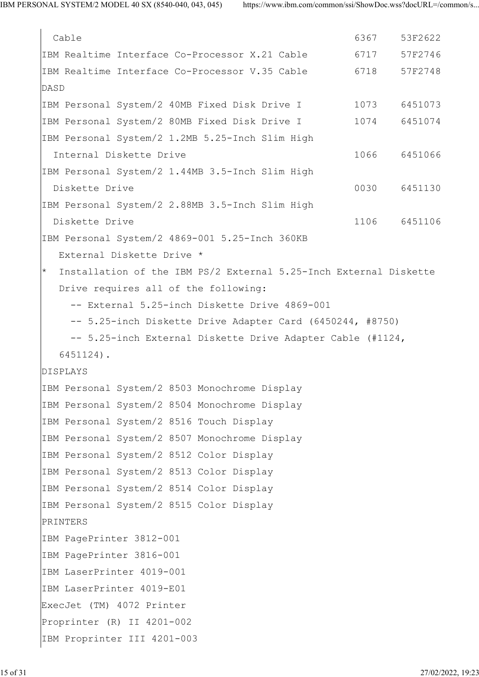Cable 6367 53F2622 IBM Realtime Interface Co-Processor X.21 Cable 6717 57F2746 IBM Realtime Interface Co-Processor V.35 Cable 6718 57F2748 DASD IBM Personal System/2 40MB Fixed Disk Drive I 1073 6451073 IBM Personal System/2 80MB Fixed Disk Drive I 1074 6451074 IBM Personal System/2 1.2MB 5.25-Inch Slim High Internal Diskette Drive 1066 6451066 IBM Personal System/2 1.44MB 3.5-Inch Slim High Diskette Drive 1986 and 1987 and 1988 and 1988 and 1988 and 1988 and 1988 and 1988 and 1988 and 1988 and 1988 and 1988 and 1988 and 1988 and 1988 and 1988 and 1988 and 1988 and 1988 and 1988 and 1988 and 1988 and 1988 and IBM Personal System/2 2.88MB 3.5-Inch Slim High Diskette Drive 1106 6451106 IBM Personal System/2 4869-001 5.25-Inch 360KB External Diskette Drive \* Installation of the IBM PS/2 External 5.25-Inch External Diskette Drive requires all of the following: -- External 5.25-inch Diskette Drive 4869-001 -- 5.25-inch Diskette Drive Adapter Card (6450244, #8750) -- 5.25-inch External Diskette Drive Adapter Cable (#1124, 6451124). DISPLAYS IBM Personal System/2 8503 Monochrome Display IBM Personal System/2 8504 Monochrome Display IBM Personal System/2 8516 Touch Display IBM Personal System/2 8507 Monochrome Display IBM Personal System/2 8512 Color Display IBM Personal System/2 8513 Color Display IBM Personal System/2 8514 Color Display IBM Personal System/2 8515 Color Display PRINTERS IBM PagePrinter 3812-001 IBM PagePrinter 3816-001 IBM LaserPrinter 4019-001 IBM LaserPrinter 4019-E01 ExecJet (TM) 4072 Printer Proprinter (R) II 4201-002 IBM Proprinter III 4201-003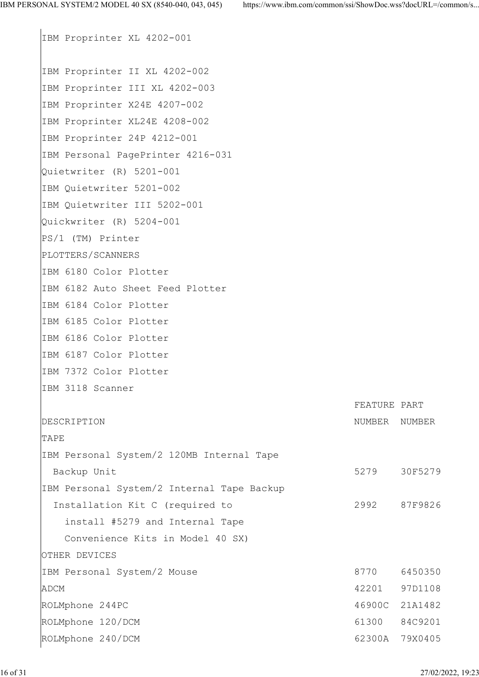IBM Proprinter XL 4202-001 IBM Proprinter II XL 4202-002 IBM Proprinter III XL 4202-003 IBM Proprinter X24E 4207-002 IBM Proprinter XL24E 4208-002 IBM Proprinter 24P 4212-001 IBM Personal PagePrinter 4216-031 Quietwriter (R) 5201-001 IBM Quietwriter 5201-002 IBM Quietwriter III 5202-001 Quickwriter (R) 5204-001 PS/1 (TM) Printer PLOTTERS/SCANNERS IBM 6180 Color Plotter IBM 6182 Auto Sheet Feed Plotter IBM 6184 Color Plotter IBM 6185 Color Plotter IBM 6186 Color Plotter IBM 6187 Color Plotter IBM 7372 Color Plotter IBM 3118 Scanner FEATURE PART DESCRIPTION NUMBER NUMBER NUMBER NUMBER TAPE **TAPE** IBM Personal System/2 120MB Internal Tape Backup Unit 30F5279 30F5279 IBM Personal System/2 Internal Tape Backup Installation Kit C (required to 2992 87F9826 install #5279 and Internal Tape Convenience Kits in Model 40 SX) OTHER DEVICES IBM Personal System/2 Mouse 8770 6450350 ADCM 42201 97D1108 ROLMphone 244PC 46900C 21A1482 ROLMphone 120/DCM 61300 84C9201 ROLMphone 240/DCM 62300A 79X0405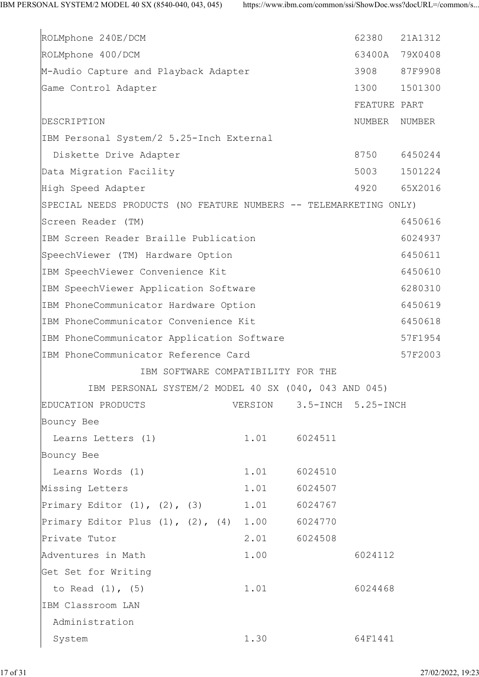| ROLMphone 240E/DCM                                                |         |                    | 62380        | 21A1312        |
|-------------------------------------------------------------------|---------|--------------------|--------------|----------------|
| ROLMphone 400/DCM                                                 |         |                    |              | 63400A 79X0408 |
| M-Audio Capture and Playback Adapter                              |         |                    | 3908         | 87F9908        |
| Game Control Adapter                                              |         |                    | 1300         | 1501300        |
|                                                                   |         |                    | FEATURE PART |                |
| DESCRIPTION                                                       |         |                    | NUMBER       | NUMBER         |
| IBM Personal System/2 5.25-Inch External                          |         |                    |              |                |
| Diskette Drive Adapter                                            |         |                    | 8750         | 6450244        |
| Data Migration Facility                                           |         |                    | 5003         | 1501224        |
| High Speed Adapter                                                |         |                    | 4920         | 65X2016        |
| SPECIAL NEEDS PRODUCTS (NO FEATURE NUMBERS -- TELEMARKETING ONLY) |         |                    |              |                |
| Screen Reader (TM)                                                |         |                    |              | 6450616        |
| IBM Screen Reader Braille Publication                             |         |                    |              | 6024937        |
| SpeechViewer (TM) Hardware Option                                 |         |                    |              | 6450611        |
| IBM SpeechViewer Convenience Kit                                  |         |                    |              | 6450610        |
| IBM SpeechViewer Application Software                             |         |                    |              | 6280310        |
| IBM PhoneCommunicator Hardware Option                             |         |                    |              | 6450619        |
| IBM PhoneCommunicator Convenience Kit                             |         |                    |              | 6450618        |
| IBM PhoneCommunicator Application Software                        |         |                    |              | 57F1954        |
| IBM PhoneCommunicator Reference Card                              |         |                    |              | 57F2003        |
| IBM SOFTWARE COMPATIBILITY FOR THE                                |         |                    |              |                |
| IBM PERSONAL SYSTEM/2 MODEL 40 SX (040, 043 AND 045)              |         |                    |              |                |
| EDUCATION PRODUCTS                                                | VERSION | 3.5-INCH 5.25-INCH |              |                |
| Bouncy Bee                                                        |         |                    |              |                |
| Learns Letters (1)                                                | 1.01    | 6024511            |              |                |
| Bouncy Bee                                                        |         |                    |              |                |
| Learns Words (1)                                                  | 1.01    | 6024510            |              |                |
| Missing Letters                                                   | 1.01    | 6024507            |              |                |
| Primary Editor $(1)$ , $(2)$ , $(3)$                              | 1.01    | 6024767            |              |                |
| Primary Editor Plus $(1)$ , $(2)$ , $(4)$                         | 1.00    | 6024770            |              |                |
| Private Tutor                                                     | 2.01    | 6024508            |              |                |
| Adventures in Math                                                | 1.00    |                    | 6024112      |                |
| Get Set for Writing                                               |         |                    |              |                |
| to Read (1), (5)                                                  | 1.01    |                    | 6024468      |                |
| IBM Classroom LAN                                                 |         |                    |              |                |
| Administration                                                    |         |                    |              |                |
| System                                                            | 1.30    |                    | 64F1441      |                |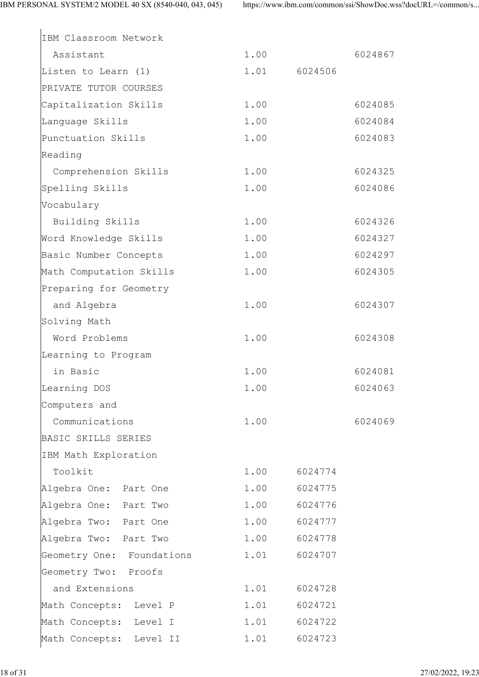| IBM Classroom Network     |      |         |  |
|---------------------------|------|---------|--|
| Assistant                 | 1.00 | 6024867 |  |
| Listen to Learn (1)       | 1.01 | 6024506 |  |
| PRIVATE TUTOR COURSES     |      |         |  |
| Capitalization Skills     | 1.00 | 6024085 |  |
| Language Skills           | 1.00 | 6024084 |  |
| Punctuation Skills        | 1.00 | 6024083 |  |
| Reading                   |      |         |  |
| Comprehension Skills      | 1.00 | 6024325 |  |
| Spelling Skills           | 1.00 | 6024086 |  |
| Vocabulary                |      |         |  |
| Building Skills           | 1.00 | 6024326 |  |
| Word Knowledge Skills     | 1.00 | 6024327 |  |
| Basic Number Concepts     | 1.00 | 6024297 |  |
| Math Computation Skills   | 1.00 | 6024305 |  |
| Preparing for Geometry    |      |         |  |
| and Algebra               | 1.00 | 6024307 |  |
| Solving Math              |      |         |  |
| Word Problems             | 1.00 | 6024308 |  |
| Learning to Program       |      |         |  |
| in Basic                  | 1.00 | 6024081 |  |
| Learning DOS              | 1.00 | 6024063 |  |
| Computers and             |      |         |  |
| Communications            | 1.00 | 6024069 |  |
| BASIC SKILLS SERIES       |      |         |  |
| IBM Math Exploration      |      |         |  |
| Toolkit                   | 1.00 | 6024774 |  |
| Algebra One: Part One     | 1.00 | 6024775 |  |
| Algebra One: Part Two     | 1.00 | 6024776 |  |
| Algebra Two: Part One     | 1.00 | 6024777 |  |
| Algebra Two: Part Two     | 1.00 | 6024778 |  |
| Geometry One: Foundations | 1.01 | 6024707 |  |
| Geometry Two: Proofs      |      |         |  |
| and Extensions            | 1.01 | 6024728 |  |
| Math Concepts: Level P    | 1.01 | 6024721 |  |
| Math Concepts: Level I    | 1.01 | 6024722 |  |
| Math Concepts: Level II   | 1.01 | 6024723 |  |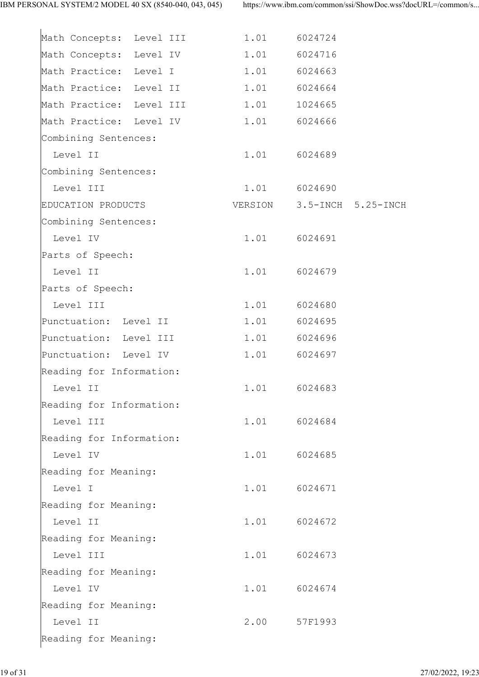| Math Concepts: Level III            | 1.01 | 6024724                    |  |
|-------------------------------------|------|----------------------------|--|
| Math Concepts: Level IV             |      | 1.01 6024716               |  |
| Math Practice: Level I 1.01 6024663 |      |                            |  |
| Math Practice: Level II             |      | 1.01 6024664               |  |
| Math Practice: Level III            |      | 1.01 1024665               |  |
| Math Practice: Level IV             |      | 1.01 6024666               |  |
| Combining Sentences:                |      |                            |  |
| Level II                            |      | 1.01 6024689               |  |
| Combining Sentences:                |      |                            |  |
| Level III                           |      | 1.01 6024690               |  |
| EDUCATION PRODUCTS                  |      | VERSION 3.5-INCH 5.25-INCH |  |
| Combining Sentences:                |      |                            |  |
| Level IV                            |      | 1.01 6024691               |  |
| Parts of Speech:                    |      |                            |  |
| Level II                            |      | 1.01 6024679               |  |
| Parts of Speech:                    |      |                            |  |
| Level III                           |      | 1.01 6024680               |  |
| Punctuation: Level II               |      | 1.01 6024695               |  |
| Punctuation: Level III              |      | 1.01 6024696               |  |
| Punctuation: Level IV               | 1.01 | 6024697                    |  |
| Reading for Information:            |      |                            |  |
| Level II                            |      | 1.01 6024683               |  |
| Reading for Information:            |      |                            |  |
| Level III                           | 1.01 | 6024684                    |  |
| Reading for Information:            |      |                            |  |
| Level IV                            | 1.01 | 6024685                    |  |
| Reading for Meaning:                |      |                            |  |
| Level I                             | 1.01 | 6024671                    |  |
| Reading for Meaning:                |      |                            |  |
| Level II                            | 1.01 | 6024672                    |  |
| Reading for Meaning:                |      |                            |  |
| Level III                           | 1.01 | 6024673                    |  |
| Reading for Meaning:                |      |                            |  |
| Level IV                            | 1.01 | 6024674                    |  |
| Reading for Meaning:                |      |                            |  |
| Level II                            | 2.00 | 57F1993                    |  |
| Reading for Meaning:                |      |                            |  |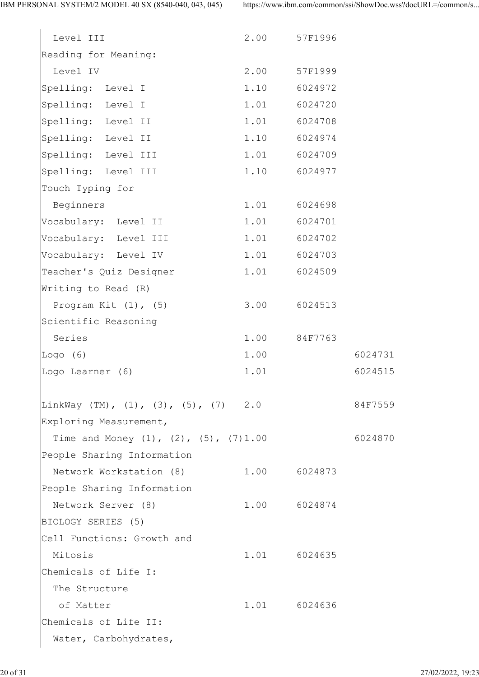| Level III                                        | 2.00 | 57F1996 |         |  |
|--------------------------------------------------|------|---------|---------|--|
| Reading for Meaning:                             |      |         |         |  |
| Level IV                                         | 2.00 | 57F1999 |         |  |
| Spelling: Level I                                | 1.10 | 6024972 |         |  |
| Spelling: Level I                                | 1.01 | 6024720 |         |  |
| Spelling: Level II                               | 1.01 | 6024708 |         |  |
| Spelling: Level II                               | 1.10 | 6024974 |         |  |
| Spelling: Level III                              | 1.01 | 6024709 |         |  |
| Spelling: Level III                              | 1.10 | 6024977 |         |  |
| Touch Typing for                                 |      |         |         |  |
| Beginners                                        | 1.01 | 6024698 |         |  |
| Vocabulary: Level II                             | 1.01 | 6024701 |         |  |
| Vocabulary: Level III                            | 1.01 | 6024702 |         |  |
| Vocabulary: Level IV                             | 1.01 | 6024703 |         |  |
| Teacher's Quiz Designer                          | 1.01 | 6024509 |         |  |
| Writing to Read (R)                              |      |         |         |  |
| Program Kit $(1)$ , $(5)$                        | 3.00 | 6024513 |         |  |
| Scientific Reasoning                             |      |         |         |  |
| Series                                           | 1.00 | 84F7763 |         |  |
| Logo $(6)$                                       | 1.00 |         | 6024731 |  |
| Logo Learner (6)                                 | 1.01 |         | 6024515 |  |
|                                                  |      |         |         |  |
| LinkWay (TM), (1), (3), (5), (7) 2.0             |      |         | 84F7559 |  |
| Exploring Measurement,                           |      |         |         |  |
| Time and Money $(1)$ , $(2)$ , $(5)$ , $(7)1.00$ |      |         | 6024870 |  |
| People Sharing Information                       |      |         |         |  |
| Network Workstation (8)                          | 1.00 | 6024873 |         |  |
| People Sharing Information                       |      |         |         |  |
| Network Server (8)                               | 1.00 | 6024874 |         |  |
| BIOLOGY SERIES (5)                               |      |         |         |  |
| Cell Functions: Growth and                       |      |         |         |  |
| Mitosis                                          | 1.01 | 6024635 |         |  |
| Chemicals of Life I:                             |      |         |         |  |
| The Structure                                    |      |         |         |  |
| of Matter                                        | 1.01 | 6024636 |         |  |
| Chemicals of Life II:                            |      |         |         |  |
| Water, Carbohydrates,                            |      |         |         |  |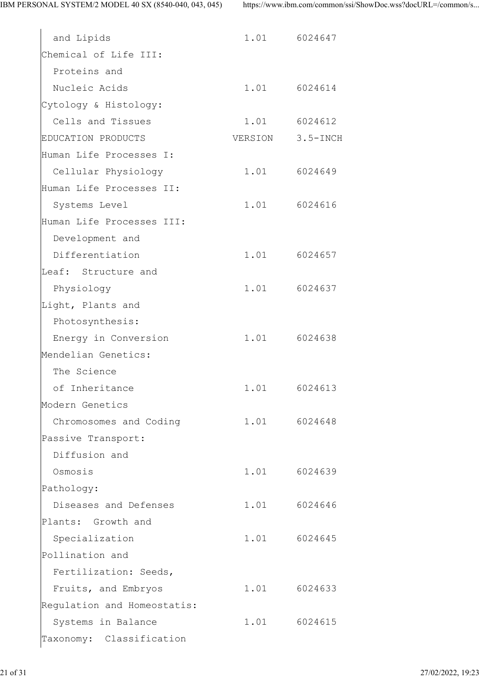| and Lipids                                 | 1.01 6024647     |  |
|--------------------------------------------|------------------|--|
| Chemical of Life III:                      |                  |  |
| Proteins and                               |                  |  |
| Nucleic Acids                              | 1.01 6024614     |  |
|                                            |                  |  |
| Cytology & Histology:<br>Cells and Tissues |                  |  |
|                                            | 1.01 6024612     |  |
| EDUCATION PRODUCTS                         | VERSION 3.5-INCH |  |
| Human Life Processes I:                    |                  |  |
| Cellular Physiology                        | 1.01 6024649     |  |
| Human Life Processes II:                   |                  |  |
| Systems Level                              | 1.01 6024616     |  |
| Human Life Processes III:                  |                  |  |
| Development and                            |                  |  |
| Differentiation                            | 1.01 6024657     |  |
| Leaf: Structure and                        |                  |  |
| Physiology                                 | 1.01 6024637     |  |
| Light, Plants and                          |                  |  |
| Photosynthesis:                            |                  |  |
| Energy in Conversion                       | 1.01 6024638     |  |
| Mendelian Genetics:                        |                  |  |
| The Science                                |                  |  |
| of Inheritance                             | 1.01 6024613     |  |
| Modern Genetics                            |                  |  |
| Chromosomes and Coding                     | 1.01 6024648     |  |
| Passive Transport:                         |                  |  |
| Diffusion and                              |                  |  |
| Osmosis                                    | 1.01 6024639     |  |
| Pathology:                                 |                  |  |
| Diseases and Defenses                      | 1.01 6024646     |  |
| Plants: Growth and                         |                  |  |
| Specialization                             | 1.01 6024645     |  |
| Pollination and                            |                  |  |
| Fertilization: Seeds,                      |                  |  |
| Fruits, and Embryos                        | 1.01 6024633     |  |
| Regulation and Homeostatis:                |                  |  |
| Systems in Balance                         | 1.01 6024615     |  |
| Taxonomy: Classification                   |                  |  |
|                                            |                  |  |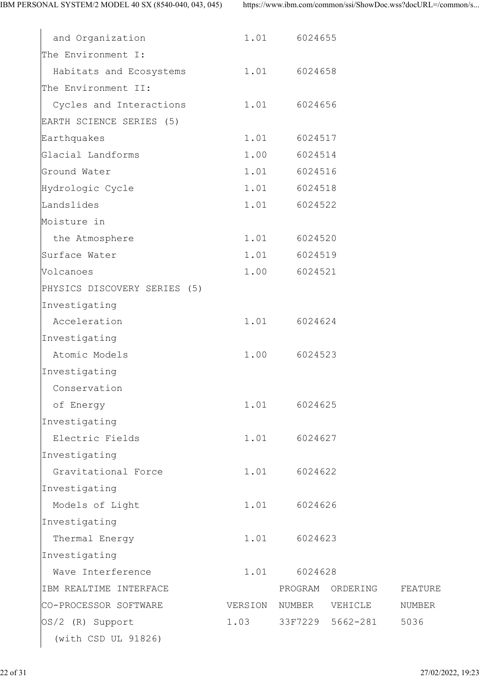| and Organization             | 1.01    | 6024655 |                  |         |  |
|------------------------------|---------|---------|------------------|---------|--|
| The Environment I:           |         |         |                  |         |  |
| Habitats and Ecosystems      | 1.01    | 6024658 |                  |         |  |
| The Environment II:          |         |         |                  |         |  |
| Cycles and Interactions      | 1.01    | 6024656 |                  |         |  |
| EARTH SCIENCE SERIES (5)     |         |         |                  |         |  |
| Earthquakes                  | 1.01    | 6024517 |                  |         |  |
| Glacial Landforms            | 1.00    | 6024514 |                  |         |  |
| Ground Water                 | 1.01    | 6024516 |                  |         |  |
| Hydrologic Cycle             | 1.01    | 6024518 |                  |         |  |
| Landslides                   | 1.01    | 6024522 |                  |         |  |
| Moisture in                  |         |         |                  |         |  |
| the Atmosphere               | 1.01    | 6024520 |                  |         |  |
| Surface Water                | 1.01    | 6024519 |                  |         |  |
| Volcanoes                    | 1.00    | 6024521 |                  |         |  |
| PHYSICS DISCOVERY SERIES (5) |         |         |                  |         |  |
| Investigating                |         |         |                  |         |  |
| Acceleration                 | 1.01    | 6024624 |                  |         |  |
| Investigating                |         |         |                  |         |  |
| Atomic Models                | 1.00    | 6024523 |                  |         |  |
| Investigating                |         |         |                  |         |  |
| Conservation                 |         |         |                  |         |  |
| of Energy                    | 1.01    | 6024625 |                  |         |  |
| Investigating                |         |         |                  |         |  |
| Electric Fields              | 1.01    | 6024627 |                  |         |  |
| Investigating                |         |         |                  |         |  |
| Gravitational Force          | 1.01    | 6024622 |                  |         |  |
| Investigating                |         |         |                  |         |  |
| Models of Light              | 1.01    | 6024626 |                  |         |  |
| Investigating                |         |         |                  |         |  |
| Thermal Energy               | 1.01    |         | 6024623          |         |  |
| Investigating                |         |         |                  |         |  |
| Wave Interference            | 1.01    | 6024628 |                  |         |  |
| IBM REALTIME INTERFACE       |         | PROGRAM | ORDERING         | FEATURE |  |
| CO-PROCESSOR SOFTWARE        | VERSION | NUMBER  | VEHICLE          | NUMBER  |  |
| OS/2 (R) Support             | 1.03    |         | 33F7229 5662-281 | 5036    |  |
| (with CSD UL 91826)          |         |         |                  |         |  |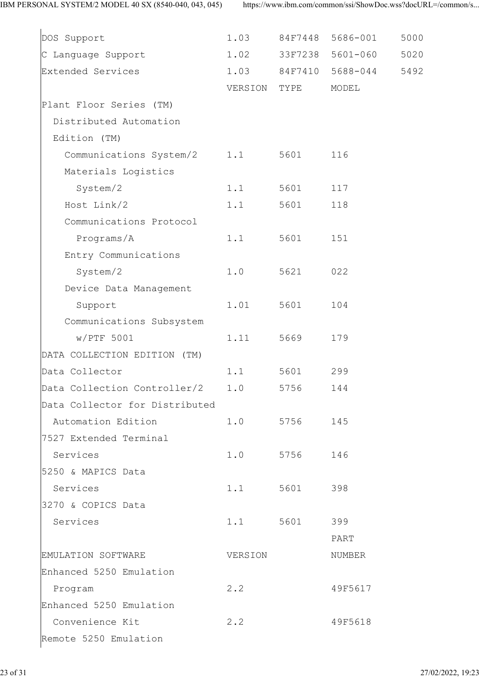| DOS Support                      | 1.03        | 84F7448 | 5686-001         | 5000 |
|----------------------------------|-------------|---------|------------------|------|
| C Language Support               | 1.02        |         | 33F7238 5601-060 | 5020 |
| Extended Services                | 1.03        |         | 84F7410 5688-044 | 5492 |
|                                  | VERSION     | TYPE    | MODEL            |      |
| Plant Floor Series (TM)          |             |         |                  |      |
| Distributed Automation           |             |         |                  |      |
| Edition (TM)                     |             |         |                  |      |
| Communications System/2 1.1      |             | 5601    | 116              |      |
| Materials Logistics              |             |         |                  |      |
| System/2                         | 1.1         | 5601    | 117              |      |
| Host Link/2                      | 1.1         | 5601    | 118              |      |
| Communications Protocol          |             |         |                  |      |
| Programs/A                       | 1.1         | 5601    | 151              |      |
| Entry Communications             |             |         |                  |      |
| System/2                         | 1.0         | 5621    | 022              |      |
| Device Data Management           |             |         |                  |      |
| Support                          | 1.01        | 5601    | 104              |      |
| Communications Subsystem         |             |         |                  |      |
| $w/PTF$ 5001                     | 1.11        | 5669    | 179              |      |
| DATA COLLECTION EDITION (TM)     |             |         |                  |      |
| Data Collector                   | 1.1         | 5601    | 299              |      |
| Data Collection Controller/2 1.0 |             | 5756    | 144              |      |
| Data Collector for Distributed   |             |         |                  |      |
| Automation Edition               | 1.0         | 5756    | 145              |      |
| 7527 Extended Terminal           |             |         |                  |      |
| Services                         | 1.0         | 5756    | 146              |      |
| 5250 & MAPICS Data               |             |         |                  |      |
| Services                         | 1.1         | 5601    | 398              |      |
| 3270 & COPICS Data               |             |         |                  |      |
| Services                         | 1.1         | 5601    | 399              |      |
|                                  |             |         | PART             |      |
| EMULATION SOFTWARE               | VERSION     |         | NUMBER           |      |
| Enhanced 5250 Emulation          |             |         |                  |      |
| Program                          | $2 \cdot 2$ |         | 49F5617          |      |
| Enhanced 5250 Emulation          |             |         |                  |      |
| Convenience Kit                  | 2.2         |         | 49F5618          |      |
| Remote 5250 Emulation            |             |         |                  |      |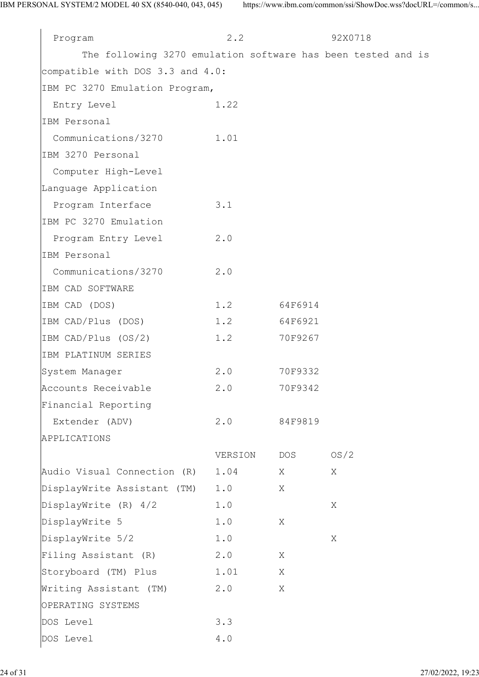| Program                                                      | 2.2     |         | 92X0718 |  |  |
|--------------------------------------------------------------|---------|---------|---------|--|--|
| The following 3270 emulation software has been tested and is |         |         |         |  |  |
| compatible with DOS 3.3 and 4.0:                             |         |         |         |  |  |
| IBM PC 3270 Emulation Program,                               |         |         |         |  |  |
| Entry Level                                                  | 1.22    |         |         |  |  |
| IBM Personal                                                 |         |         |         |  |  |
| Communications/3270 1.01                                     |         |         |         |  |  |
| IBM 3270 Personal                                            |         |         |         |  |  |
| Computer High-Level                                          |         |         |         |  |  |
| Language Application                                         |         |         |         |  |  |
| Program Interface                                            | 3.1     |         |         |  |  |
| IBM PC 3270 Emulation                                        |         |         |         |  |  |
| Program Entry Level 2.0                                      |         |         |         |  |  |
| IBM Personal                                                 |         |         |         |  |  |
| Communications/3270                                          | 2.0     |         |         |  |  |
| IBM CAD SOFTWARE                                             |         |         |         |  |  |
| IBM CAD (DOS)                                                | 1.2     | 64F6914 |         |  |  |
| IBM CAD/Plus (DOS)                                           | 1.2     | 64F6921 |         |  |  |
| IBM CAD/Plus (OS/2)                                          | 1.2     | 70F9267 |         |  |  |
| IBM PLATINUM SERIES                                          |         |         |         |  |  |
| System Manager                                               | 2.0     | 70F9332 |         |  |  |
| Accounts Receivable                                          | 2.0     | 70F9342 |         |  |  |
| Financial Reporting                                          |         |         |         |  |  |
| Extender (ADV)                                               | 2.0     | 84F9819 |         |  |  |
| APPLICATIONS                                                 |         |         |         |  |  |
|                                                              | VERSION | DOS     | OS/2    |  |  |
| Audio Visual Connection (R)                                  | 1.04    | Χ       | X       |  |  |
| DisplayWrite Assistant (TM)                                  | 1.0     | X       |         |  |  |
| DisplayWrite (R) 4/2                                         | 1.0     |         | X       |  |  |
| DisplayWrite 5                                               | 1.0     | X       |         |  |  |
| DisplayWrite 5/2                                             | 1.0     |         | X       |  |  |
| Filing Assistant (R)                                         | 2.0     | X       |         |  |  |
| Storyboard (TM) Plus                                         | 1.01    | X       |         |  |  |
| Writing Assistant (TM)                                       | 2.0     | X       |         |  |  |
| OPERATING SYSTEMS                                            |         |         |         |  |  |
| DOS Level                                                    | 3.3     |         |         |  |  |
| DOS Level                                                    | $4\;.0$ |         |         |  |  |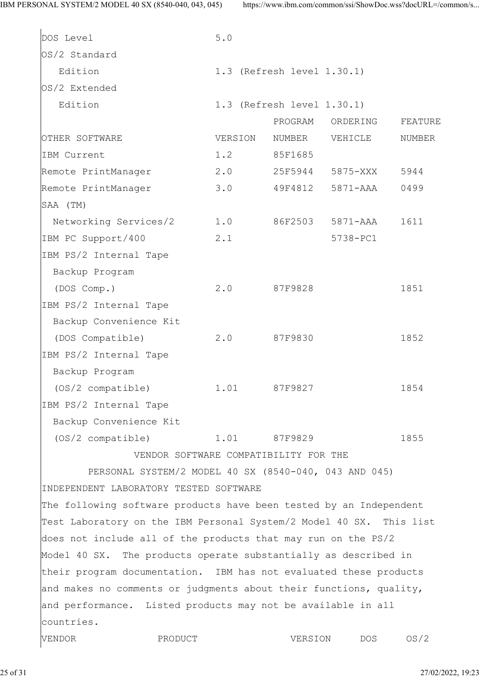| DOS Level                                                           | 5.0                                   |                            |          |         |
|---------------------------------------------------------------------|---------------------------------------|----------------------------|----------|---------|
| OS/2 Standard                                                       |                                       |                            |          |         |
| Edition                                                             |                                       | 1.3 (Refresh level 1.30.1) |          |         |
| OS/2 Extended                                                       |                                       |                            |          |         |
| Edition                                                             |                                       | 1.3 (Refresh level 1.30.1) |          |         |
|                                                                     |                                       | PROGRAM                    | ORDERING | FEATURE |
| OTHER SOFTWARE                                                      | VERSION                               | NUMBER                     | VEHICLE  | NUMBER  |
| IBM Current                                                         | 1.2                                   | 85F1685                    |          |         |
| Remote PrintManager                                                 | 2.0                                   | 25F5944                    | 5875-XXX | 5944    |
| Remote PrintManager                                                 | 3.0                                   | 49F4812                    | 5871-AAA | 0499    |
| SAA (TM)                                                            |                                       |                            |          |         |
| Networking Services/2                                               | 1.0                                   | 86F2503                    | 5871-AAA | 1611    |
| IBM PC Support/400                                                  | 2.1                                   |                            | 5738-PC1 |         |
| IBM PS/2 Internal Tape                                              |                                       |                            |          |         |
| Backup Program                                                      |                                       |                            |          |         |
| (DOS Comp.)                                                         | 2.0                                   | 87F9828                    |          | 1851    |
| IBM PS/2 Internal Tape                                              |                                       |                            |          |         |
| Backup Convenience Kit                                              |                                       |                            |          |         |
| (DOS Compatible)                                                    | 2.0                                   | 87F9830                    |          | 1852    |
| IBM PS/2 Internal Tape                                              |                                       |                            |          |         |
| Backup Program                                                      |                                       |                            |          |         |
| (OS/2 compatible)                                                   | 1.01                                  | 87F9827                    |          | 1854    |
| IBM PS/2 Internal Tape                                              |                                       |                            |          |         |
| Backup Convenience Kit                                              |                                       |                            |          |         |
| (OS/2 compatible)                                                   | 1.01                                  | 87F9829                    |          | 1855    |
|                                                                     | VENDOR SOFTWARE COMPATIBILITY FOR THE |                            |          |         |
| PERSONAL SYSTEM/2 MODEL 40 SX (8540-040, 043 AND 045)               |                                       |                            |          |         |
| INDEPENDENT LABORATORY TESTED SOFTWARE                              |                                       |                            |          |         |
| The following software products have been tested by an Independent  |                                       |                            |          |         |
| Test Laboratory on the IBM Personal System/2 Model 40 SX. This list |                                       |                            |          |         |
| does not include all of the products that may run on the PS/2       |                                       |                            |          |         |
| Model 40 SX. The products operate substantially as described in     |                                       |                            |          |         |
| their program documentation. IBM has not evaluated these products   |                                       |                            |          |         |
| and makes no comments or judgments about their functions, quality,  |                                       |                            |          |         |
| and performance. Listed products may not be available in all        |                                       |                            |          |         |
| countries.                                                          |                                       |                            |          |         |
| VENDOR<br>PRODUCT                                                   |                                       | VERSION                    | DOS      | OS/2    |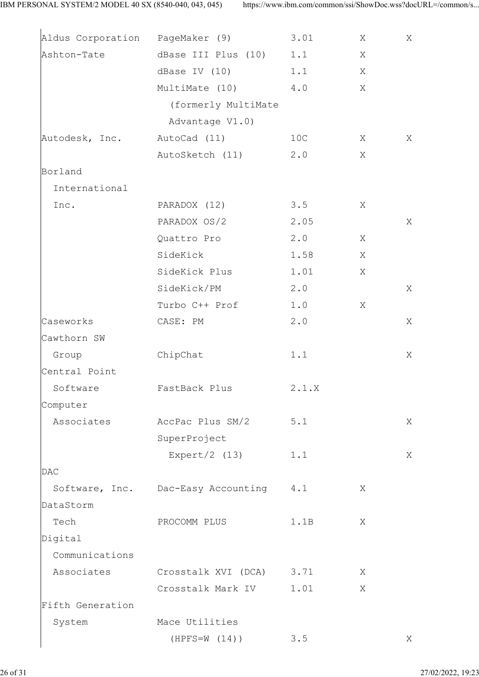|                             | Aldus Corporation PageMaker (9)    | 3.01  | Χ | Χ |
|-----------------------------|------------------------------------|-------|---|---|
|                             | Ashton-Tate dBase III Plus (10)    | 1.1   | Χ |   |
|                             | dBase IV (10)                      | 1.1   | Χ |   |
|                             | MultiMate (10)                     | $4.0$ | X |   |
|                             | (formerly MultiMate                |       |   |   |
|                             | Advantage V1.0)                    |       |   |   |
| Autodesk, Inc. AutoCad (11) |                                    | 10C   | Χ | Χ |
|                             | AutoSketch (11)                    | 2.0   | Χ |   |
| Borland                     |                                    |       |   |   |
| International               |                                    |       |   |   |
| Inc.                        | PARADOX (12)                       | 3.5   | Χ |   |
|                             | PARADOX OS/2                       | 2.05  |   | X |
|                             | Quattro Pro                        | 2.0   | Χ |   |
|                             | SideKick                           | 1.58  | X |   |
|                             | SideKick Plus                      | 1.01  | Χ |   |
|                             | SideKick/PM                        | 2.0   |   | Χ |
|                             | Turbo C++ Prof                     | 1.0   | Χ |   |
| Caseworks                   | CASE: PM                           | 2.0   |   | Χ |
| Cawthorn SW                 |                                    |       |   |   |
| Group                       | ChipChat                           | 1.1   |   | Χ |
| Central Point               |                                    |       |   |   |
| Software                    | FastBack Plus                      | 2.1.X |   |   |
| Computer                    |                                    |       |   |   |
| Associates                  | AccPac Plus SM/2                   | $5.1$ |   | Χ |
|                             | SuperProject                       |       |   |   |
|                             | Expert/2 $(13)$                    | 1.1   |   | Χ |
| <b>DAC</b>                  |                                    |       |   |   |
|                             | Software, Inc. Dac-Easy Accounting | 4.1   | Χ |   |
| DataStorm                   |                                    |       |   |   |
| Tech                        | PROCOMM PLUS                       | 1.1B  | Χ |   |
| Digital                     |                                    |       |   |   |
| Communications              |                                    |       |   |   |
| Associates                  | Crosstalk XVI (DCA) 3.71           |       | Χ |   |
|                             | Crosstalk Mark IV                  | 1.01  | X |   |
| Fifth Generation            |                                    |       |   |   |
| System                      | Mace Utilities                     |       |   |   |
|                             | $(HPFS=W (14))$                    | 3.5   |   | Χ |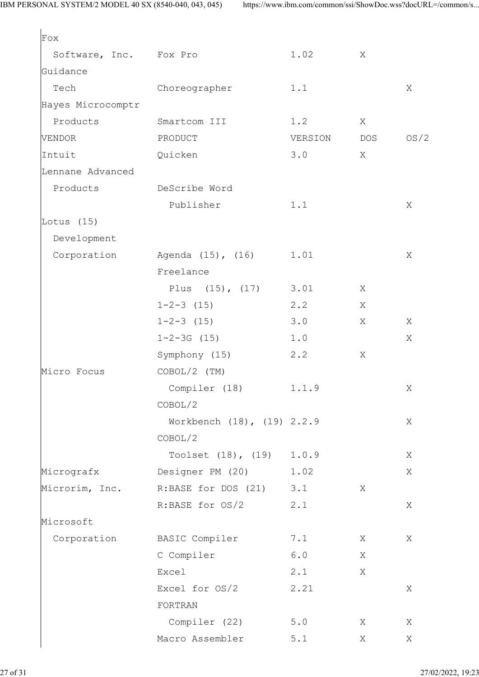| Fox                    |                            |         |            |      |
|------------------------|----------------------------|---------|------------|------|
| Software, Inc. Fox Pro |                            | 1.02    | X          |      |
| Guidance               |                            |         |            |      |
| Tech                   | Choreographer              | 1.1     |            | Χ    |
| Hayes Microcomptr      |                            |         |            |      |
| Products               | Smartcom III               | 1.2     | X          |      |
| VENDOR                 | PRODUCT                    | VERSION | <b>DOS</b> | OS/2 |
| Intuit                 | Quicken                    | 3.0     | X          |      |
| Lennane Advanced       |                            |         |            |      |
| Products               | DeScribe Word              |         |            |      |
|                        | Publisher                  | 1.1     |            | Χ    |
| Lotus $(15)$           |                            |         |            |      |
| Development            |                            |         |            |      |
| Corporation            | Agenda (15), (16)          | 1.01    |            | Χ    |
|                        | Freelance                  |         |            |      |
|                        | Plus $(15)$ , $(17)$       | 3.01    | X          |      |
|                        | $1 - 2 - 3$ (15)           | 2.2     | Χ          |      |
|                        | $1 - 2 - 3$ (15)           | 3.0     | X          | Χ    |
|                        | $1 - 2 - 3G$ (15)          | 1.0     |            | Χ    |
|                        | Symphony (15)              | 2.2     | X          |      |
| Micro Focus            | $COBOL/2$ (TM)             |         |            |      |
|                        | Compiler (18)              | 1.1.9   |            | Χ    |
|                        | COBOL/2                    |         |            |      |
|                        | Workbench (18), (19) 2.2.9 |         |            | X    |
|                        | COBOL/2                    |         |            |      |
|                        | Toolset $(18)$ , $(19)$    | 1.0.9   |            | Χ    |
| Micrografx             | Designer PM (20)           | 1.02    |            | Χ    |
| Microrim, Inc.         | R:BASE for DOS $(21)$ 3.1  |         | X          |      |
|                        | R:BASE for OS/2            | 2.1     |            | Χ    |
| Microsoft              |                            |         |            |      |
| Corporation            | BASIC Compiler             | 7.1     | X          | Χ    |
|                        | C Compiler                 | 6.0     | X          |      |
|                        | Excel                      | 2.1     | X          |      |
|                        | Excel for OS/2             | 2.21    |            | Χ    |
|                        | FORTRAN                    |         |            |      |
|                        | Compiler (22)              | 5.0     | X          | X    |
|                        | Macro Assembler            | 5.1     | Χ          | Χ    |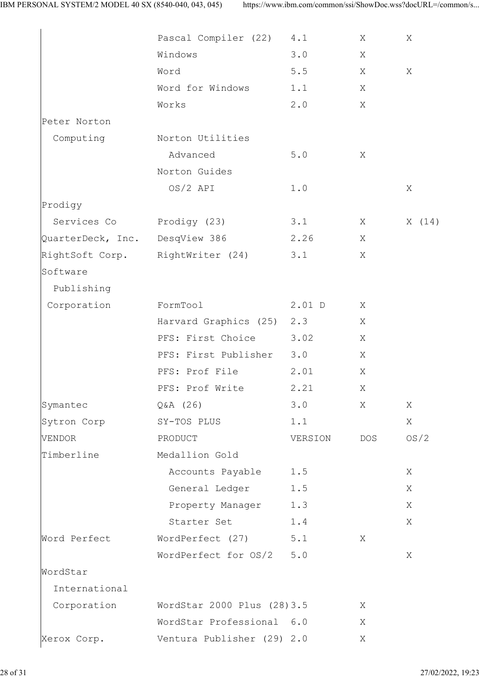|                   | Pascal Compiler (22)        | 4.1     | Χ   | X     |
|-------------------|-----------------------------|---------|-----|-------|
|                   | Windows                     | 3.0     | Χ   |       |
|                   | Word                        | $5.5$   | X   | X     |
|                   | Word for Windows            | 1.1     | Χ   |       |
|                   | Works                       | 2.0     | X   |       |
| Peter Norton      |                             |         |     |       |
| Computing         | Norton Utilities            |         |     |       |
|                   | Advanced                    | $5.0$   | X   |       |
|                   | Norton Guides               |         |     |       |
|                   | $OS/2$ API                  | 1.0     |     | X     |
| Prodigy           |                             |         |     |       |
| Services Co       | Prodigy (23)                | 3.1     | X   | X(14) |
| QuarterDeck, Inc. | DesqView 386                | 2.26    | X   |       |
| RightSoft Corp.   | RightWriter (24)            | 3.1     | Χ   |       |
| Software          |                             |         |     |       |
| Publishing        |                             |         |     |       |
| Corporation       | FormTool                    | 2.01 D  | Χ   |       |
|                   | Harvard Graphics (25)       | 2.3     | X   |       |
|                   | PFS: First Choice           | 3.02    | Χ   |       |
|                   | PFS: First Publisher        | 3.0     | Χ   |       |
|                   | PFS: Prof File              | 2.01    | Χ   |       |
|                   | PFS: Prof Write             | 2.21    | Χ   |       |
| Symantec          | $Q&A$ (26)                  | 3.0     | X   | Χ     |
| Sytron Corp       | SY-TOS PLUS                 | 1.1     |     | Χ     |
| VENDOR            | PRODUCT                     | VERSION | DOS | OS/2  |
| Timberline        | Medallion Gold              |         |     |       |
|                   | Accounts Payable            | 1.5     |     | Χ     |
|                   | General Ledger              | $1.5$   |     | Χ     |
|                   | Property Manager            | 1.3     |     | Χ     |
|                   | Starter Set                 | 1.4     |     | Χ     |
| Word Perfect      | WordPerfect (27)            | $5.1$   | Χ   |       |
|                   | WordPerfect for OS/2        | $5.0$   |     | Χ     |
| WordStar          |                             |         |     |       |
| International     |                             |         |     |       |
| Corporation       | WordStar 2000 Plus (28) 3.5 |         | Χ   |       |
|                   | WordStar Professional 6.0   |         | X   |       |
| Xerox Corp.       | Ventura Publisher (29) 2.0  |         | Χ   |       |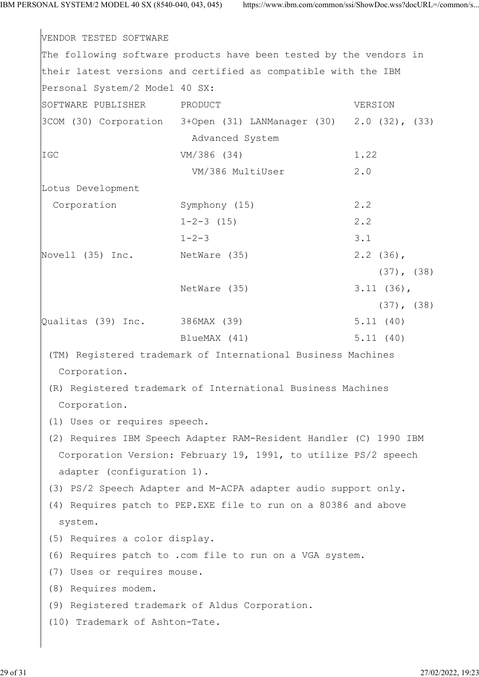VENDOR TESTED SOFTWARE The following software products have been tested by the vendors in their latest versions and certified as compatible with the IBM Personal System/2 Model 40 SX: SOFTWARE PUBLISHER PRODUCT VERSION 3COM (30) Corporation 3+Open (31) LANManager (30) 2.0 (32), (33) Advanced System IGC VM/386 (34) 1.22 VM/386 MultiUser 2.0 Lotus Development Corporation Symphony (15) 2.2  $1-2-3$  (15) 2.2  $1-2-3$  3.1 Novell (35) Inc. NetWare (35) 2.2 (36), (37), (38) NetWare (35) 3.11 (36), (37), (38) Qualitas (39) Inc. 386MAX (39) 5.11 (40) BlueMAX (41) 5.11 (40) (TM) Registered trademark of International Business Machines Corporation. (R) Registered trademark of International Business Machines Corporation. (1) Uses or requires speech. (2) Requires IBM Speech Adapter RAM-Resident Handler (C) 1990 IBM Corporation Version: February 19, 1991, to utilize PS/2 speech adapter (configuration 1). (3) PS/2 Speech Adapter and M-ACPA adapter audio support only. (4) Requires patch to PEP.EXE file to run on a 80386 and above system. (5) Requires a color display. (6) Requires patch to .com file to run on a VGA system. (7) Uses or requires mouse. (8) Requires modem. (9) Registered trademark of Aldus Corporation. (10) Trademark of Ashton-Tate.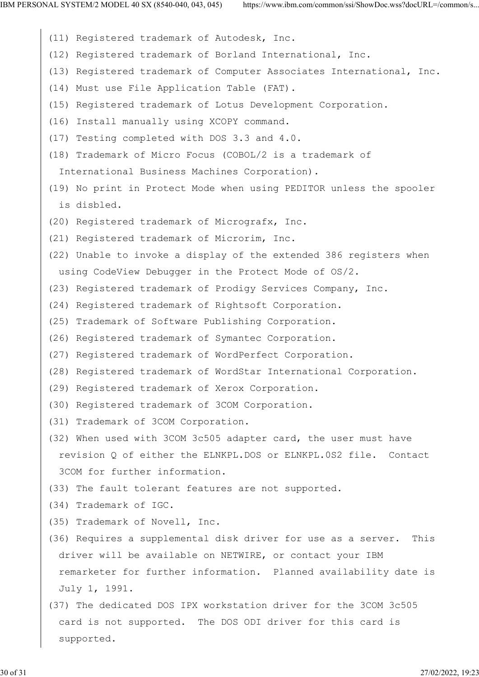- (11) Registered trademark of Autodesk, Inc.
- (12) Registered trademark of Borland International, Inc.
- (13) Registered trademark of Computer Associates International, Inc.
- (14) Must use File Application Table (FAT).
- (15) Registered trademark of Lotus Development Corporation.
- (16) Install manually using XCOPY command.
- (17) Testing completed with DOS 3.3 and 4.0.
- (18) Trademark of Micro Focus (COBOL/2 is a trademark of

International Business Machines Corporation).

- (19) No print in Protect Mode when using PEDITOR unless the spooler is disbled.
- (20) Registered trademark of Micrografx, Inc.
- (21) Registered trademark of Microrim, Inc.
- (22) Unable to invoke a display of the extended 386 registers when using CodeView Debugger in the Protect Mode of OS/2.
- (23) Registered trademark of Prodigy Services Company, Inc.
- (24) Registered trademark of Rightsoft Corporation.
- (25) Trademark of Software Publishing Corporation.
- (26) Registered trademark of Symantec Corporation.
- (27) Registered trademark of WordPerfect Corporation.
- (28) Registered trademark of WordStar International Corporation.
- (29) Registered trademark of Xerox Corporation.
- (30) Registered trademark of 3COM Corporation.
- (31) Trademark of 3COM Corporation.
- (32) When used with 3COM 3c505 adapter card, the user must have revision Q of either the ELNKPL.DOS or ELNKPL.0S2 file. Contact 3COM for further information.
- (33) The fault tolerant features are not supported.
- (34) Trademark of IGC.
- (35) Trademark of Novell, Inc.
- (36) Requires a supplemental disk driver for use as a server. This driver will be available on NETWIRE, or contact your IBM remarketer for further information. Planned availability date is July 1, 1991.
- (37) The dedicated DOS IPX workstation driver for the 3COM 3c505 card is not supported. The DOS ODI driver for this card is supported.